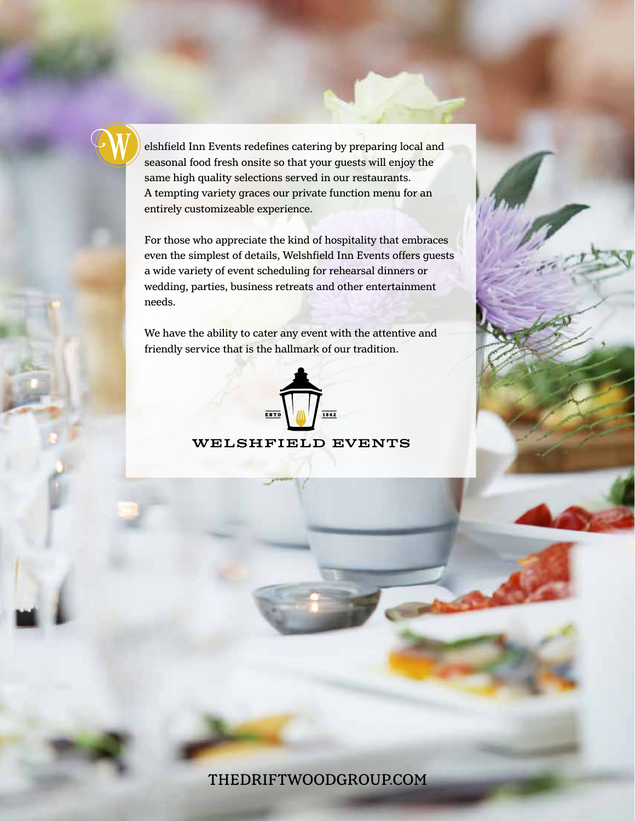elshfield Inn Events redefines catering by preparing local and seasonal food fresh onsite so that your guests will enjoy the same high quality selections served in our restaurants. A tempting variety graces our private function menu for an entirely customizeable experience.

For those who appreciate the kind of hospitality that embraces even the simplest of details, Welshfield Inn Events offers guests a wide variety of event scheduling for rehearsal dinners or wedding, parties, business retreats and other entertainment needs.

We have the ability to cater any event with the attentive and friendly service that is the hallmark of our tradition.



WELSHFIELD EVENTS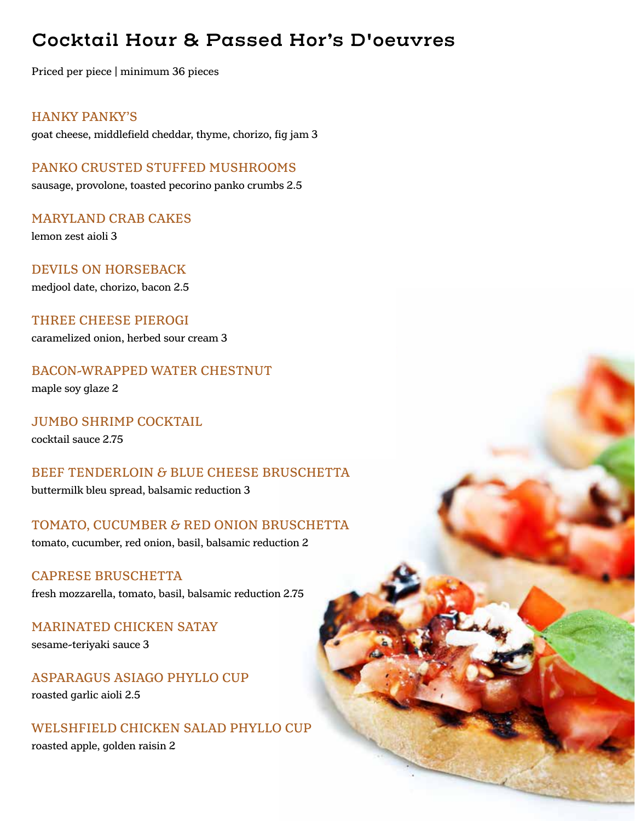## **Cocktail Hour & Passed Hor's D'oeuvres**

Priced per piece | minimum 36 pieces

HANKY PANKY'S

goat cheese, middlefield cheddar, thyme, chorizo, fig jam 3

PANKO CRUSTED STUFFED MUSHROOMS sausage, provolone, toasted pecorino panko crumbs 2.5

MARYLAND CRAB CAKES lemon zest aioli 3

DEVILS ON HORSEBACK

medjool date, chorizo, bacon 2.5

THREE CHEESE PIEROGI caramelized onion, herbed sour cream 3

BACON-WRAPPED WATER CHESTNUT maple soy glaze 2

JUMBO SHRIMP COCKTAIL cocktail sauce 2.75

BEEF TENDERLOIN & BLUE CHEESE BRUSCHETTA buttermilk bleu spread, balsamic reduction 3

TOMATO, CUCUMBER & RED ONION BRUSCHETTA tomato, cucumber, red onion, basil, balsamic reduction 2

CAPRESE BRUSCHETTA fresh mozzarella, tomato, basil, balsamic reduction 2.75

MARINATED CHICKEN SATAY sesame-teriyaki sauce 3

ASPARAGUS ASIAGO PHYLLO CUP roasted garlic aioli 2.5

WELSHFIELD CHICKEN SALAD PHYLLO CUP roasted apple, golden raisin 2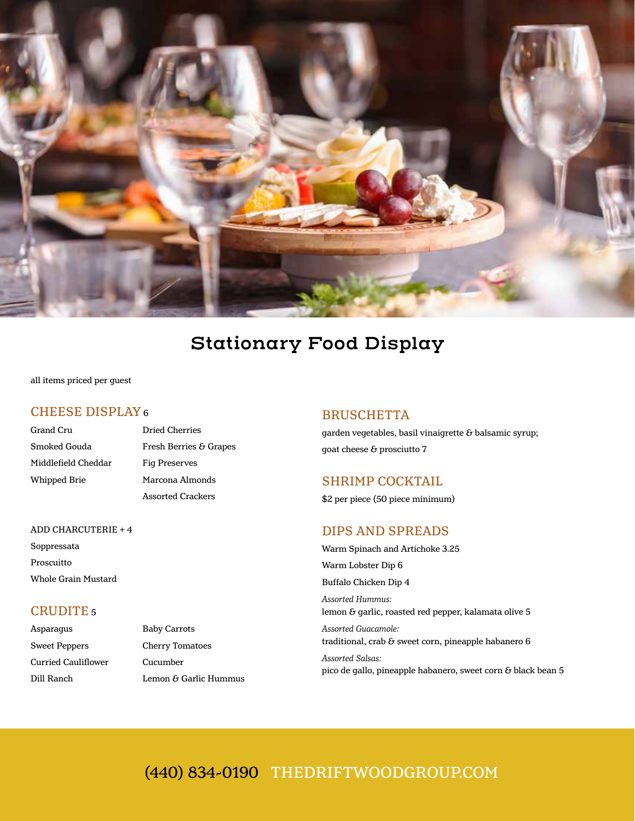

## **Stationary Food Display**

all items priced per guest

## CHEESE DISPLAY 6

| Grand Cru           | D  |
|---------------------|----|
| Smoked Gouda        | F۱ |
| Middlefield Cheddar | Fi |
| Whipped Brie        | м  |
|                     |    |

## Pried Cherries resh Berries & Grapes<sup>\*</sup> 'ig Preserves farcona Almonds Assorted Crackers

## ADD CHARCUTERIE + 4

Soppressata Proscuitto Whole Grain Mustard

## CRUDITE 5

| Asparagus           | <b>Baby Carrots</b>    |
|---------------------|------------------------|
| Sweet Peppers       | <b>Cherry Tomatoes</b> |
| Curried Cauliflower | Cucumber               |
| Dill Ranch          | Lemon & Garlic Hummus  |

### BRUSCHETTA

garden vegetables, basil vinaigrette  $\delta$  balsamic syrup; goat cheese & prosciutto 7

### SHRIMP COCKTAIL

\$2 per piece (50 piece minimum)

### DIPS AND SPREADS

Warm Spinach and Artichoke 3.25 Warm Lobster Dip 6 Buffalo Chicken Dip 4 *Assorted Hummus:* 

lemon & garlic, roasted red pepper, kalamata olive 5 *Assorted Guacamole:*  traditional, crab  $\delta$  sweet corn, pineapple habanero 6

*Assorted Salsas:*  pico de gallo, pineapple habanero, sweet corn  $\delta$  black bean 5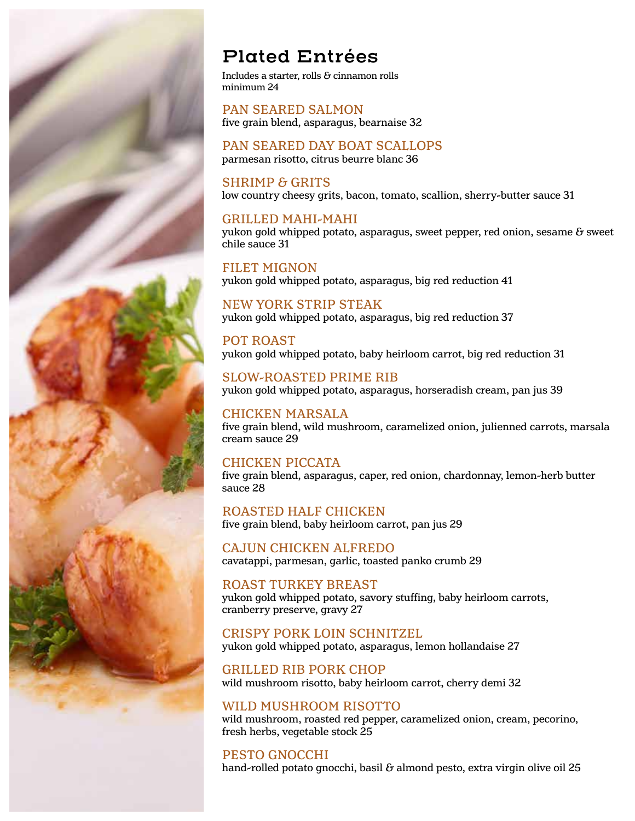

## **Plated Entrées**

Includes a starter, rolls  $\delta$  cinnamon rolls minimum 24

PAN SEARED SALMON five grain blend, asparagus, bearnaise 32

## PAN SEARED DAY BOAT SCALLOPS

parmesan risotto, citrus beurre blanc 36

## SHRIMP & GRITS

low country cheesy grits, bacon, tomato, scallion, sherry-butter sauce 31

### GRILLED MAHI-MAHI

yukon gold whipped potato, asparagus, sweet pepper, red onion, sesame  $\delta$  sweet chile sauce 31

### FILET MIGNON

yukon gold whipped potato, asparagus, big red reduction 41

## NEW YORK STRIP STEAK

yukon gold whipped potato, asparagus, big red reduction 37

### POT ROAST

yukon gold whipped potato, baby heirloom carrot, big red reduction 31

SLOW-ROASTED PRIME RIB yukon gold whipped potato, asparagus, horseradish cream, pan jus 39

## CHICKEN MARSALA

five grain blend, wild mushroom, caramelized onion, julienned carrots, marsala cream sauce 29

## CHICKEN PICCATA

five grain blend, asparagus, caper, red onion, chardonnay, lemon-herb butter sauce 28

ROASTED HALF CHICKEN five grain blend, baby heirloom carrot, pan jus 29

CAJUN CHICKEN ALFREDO cavatappi, parmesan, garlic, toasted panko crumb 29

ROAST TURKEY BREAST yukon gold whipped potato, savory stuffing, baby heirloom carrots, cranberry preserve, gravy 27

### CRISPY PORK LOIN SCHNITZEL

yukon gold whipped potato, asparagus, lemon hollandaise 27

GRILLED RIB PORK CHOP wild mushroom risotto, baby heirloom carrot, cherry demi 32

### WILD MUSHROOM RISOTTO

wild mushroom, roasted red pepper, caramelized onion, cream, pecorino, fresh herbs, vegetable stock 25

## PESTO GNOCCHI

hand-rolled potato gnocchi, basil  $\epsilon$  almond pesto, extra virgin olive oil 25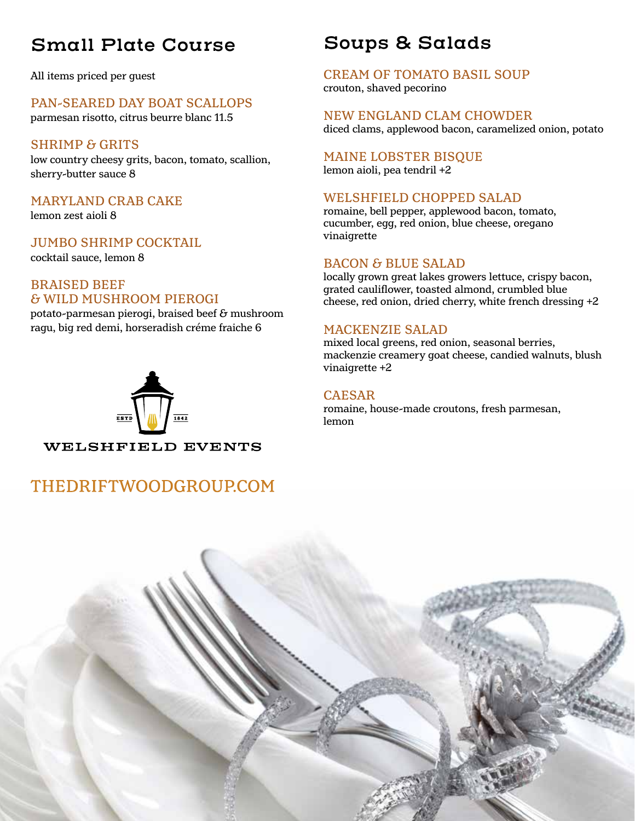## **Small Plate Course**

All items priced per guest

## PAN-SEARED DAY BOAT SCALLOPS

parmesan risotto, citrus beurre blanc 11.5

## SHRIMP & GRITS

low country cheesy grits, bacon, tomato, scallion, sherry-butter sauce 8

## MARYLAND CRAB CAKE

lemon zest aioli 8

## JUMBO SHRIMP COCKTAIL

cocktail sauce, lemon 8

## BRAISED BEEF & WILD MUSHROOM PIEROGI

potato-parmesan pierogi, braised beef  $\delta$  mushroom ragu, big red demi, horseradish créme fraiche 6



## THEDRIFTWOODGROUP.COM

## **Soups & Salads**

CREAM OF TOMATO BASIL SOUP crouton, shaved pecorino

NEW ENGLAND CLAM CHOWDER diced clams, applewood bacon, caramelized onion, potato

## MAINE LOBSTER BISQUE

lemon aioli, pea tendril +2

## WELSHFIELD CHOPPED SALAD

romaine, bell pepper, applewood bacon, tomato, cucumber, egg, red onion, blue cheese, oregano vinaigrette

## BACON & BLUE SALAD

locally grown great lakes growers lettuce, crispy bacon, grated cauliflower, toasted almond, crumbled blue cheese, red onion, dried cherry, white french dressing +2

## MACKENZIE SALAD

mixed local greens, red onion, seasonal berries, mackenzie creamery goat cheese, candied walnuts, blush vinaigrette +2

## CAESAR

romaine, house-made croutons, fresh parmesan, lemon

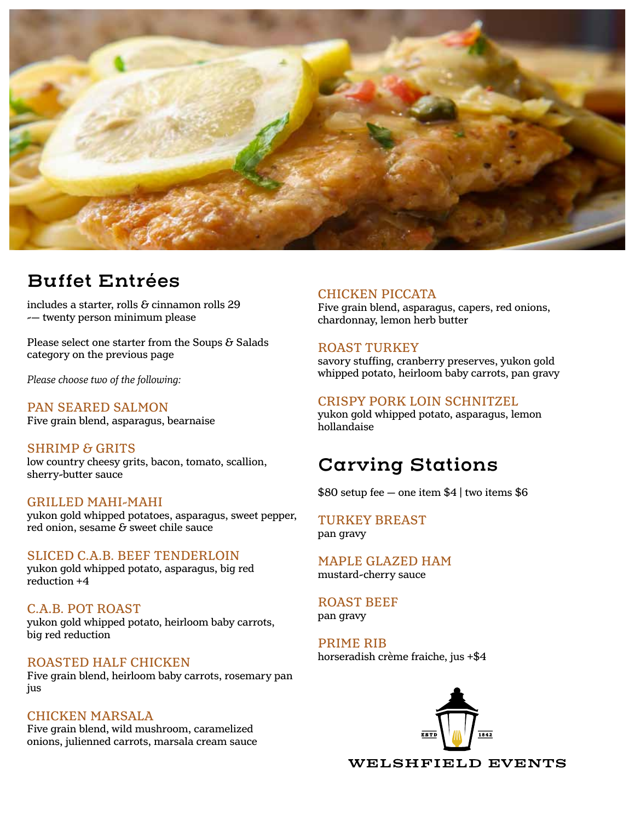

## **Buffet Entrées**

includes a starter, rolls  $\delta$  cinnamon rolls 29 -— twenty person minimum please

Please select one starter from the Soups  $\delta$  Salads category on the previous page

*Please choose two of the following:*

PAN SEARED SALMON Five grain blend, asparagus, bearnaise

SHRIMP & GRITS low country cheesy grits, bacon, tomato, scallion, sherry-butter sauce

#### GRILLED MAHI-MAHI

yukon gold whipped potatoes, asparagus, sweet pepper,  $r$ ed onion, sesame  $\delta$  sweet chile sauce

### SLICED C.A.B. BEEF TENDERLOIN

yukon gold whipped potato, asparagus, big red reduction +4

C.A.B. POT ROAST yukon gold whipped potato, heirloom baby carrots, big red reduction

### ROASTED HALF CHICKEN

Five grain blend, heirloom baby carrots, rosemary pan jus

### CHICKEN MARSALA

Five grain blend, wild mushroom, caramelized onions, julienned carrots, marsala cream sauce

### CHICKEN PICCATA

Five grain blend, asparagus, capers, red onions, chardonnay, lemon herb butter

#### ROAST TURKEY

savory stuffing, cranberry preserves, yukon gold whipped potato, heirloom baby carrots, pan gravy

#### CRISPY PORK LOIN SCHNITZEL

yukon gold whipped potato, asparagus, lemon hollandaise

## **Carving Stations**

\$80 setup fee — one item \$4 | two items \$6

#### TURKEY BREAST pan gravy

MAPLE GLAZED HAM mustard-cherry sauce

ROAST BEEF pan gravy

PRIME RIB horseradish crème fraiche, jus +\$4



**WELSHFIELD EVENTS**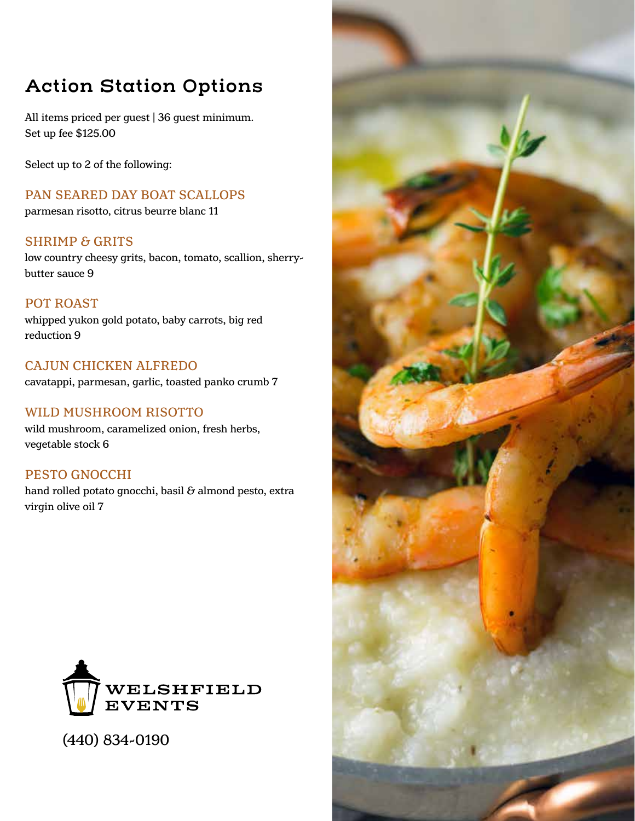## **Action Station Options**

All items priced per quest | 36 quest minimum. Set up fee \$125.00

Select up to 2 of the following:

PAN SEARED DAY BOAT SCALLOPS parmesan risotto, citrus beurre blanc 11

SHRIMP & GRITS low country cheesy grits, bacon, tomato, scallion, sherrybutter sauce 9

POT ROAST whipped yukon gold potato, baby carrots, big red reduction 9

CAJUN CHICKEN ALFREDO cavatappi, parmesan, garlic, toasted panko crumb 7

## WILD MUSHROOM RISOTTO

wild mushroom, caramelized onion, fresh herbs, vegetable stock 6

PESTO GNOCCHI hand rolled potato gnocchi, basil  $\delta$  almond pesto, extra virgin olive oil 7



(440) 834-0190

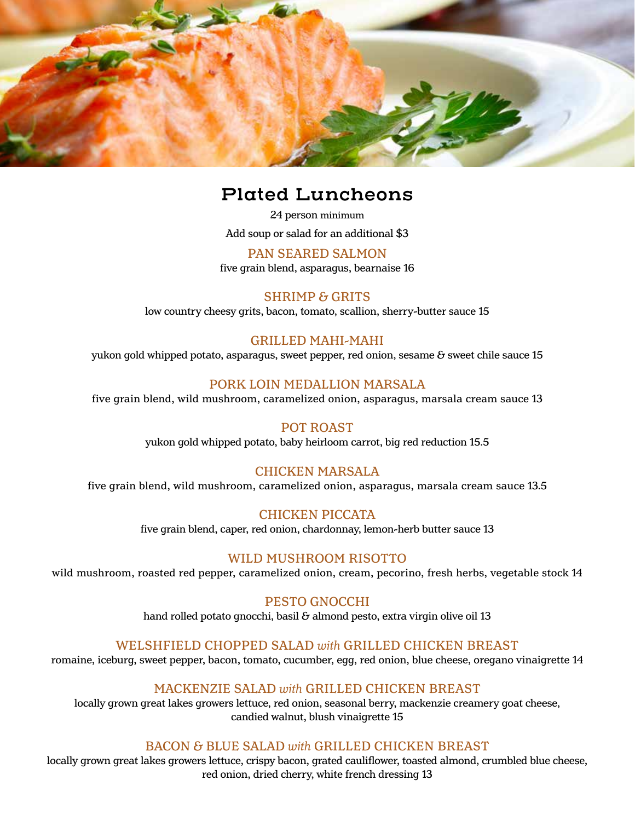

## **Plated Luncheons**

24 person minimum Add soup or salad for an additional \$3

PAN SEARED SALMON five grain blend, asparagus, bearnaise 16

SHRIMP & GRITS low country cheesy grits, bacon, tomato, scallion, sherry-butter sauce 15

## GRILLED MAHI-MAHI

yukon gold whipped potato, asparagus, sweet pepper, red onion, sesame  $\delta$  sweet chile sauce 15

## PORK LOIN MEDALLION MARSALA

five grain blend, wild mushroom, caramelized onion, asparagus, marsala cream sauce 13

## POT ROAST

yukon gold whipped potato, baby heirloom carrot, big red reduction 15.5

### CHICKEN MARSALA

five grain blend, wild mushroom, caramelized onion, asparagus, marsala cream sauce 13.5

CHICKEN PICCATA

five grain blend, caper, red onion, chardonnay, lemon-herb butter sauce 13

### WILD MUSHROOM RISOTTO

wild mushroom, roasted red pepper, caramelized onion, cream, pecorino, fresh herbs, vegetable stock 14

#### PESTO GNOCCHI

hand rolled potato gnocchi, basil  $\delta$  almond pesto, extra virgin olive oil 13

### WELSHFIELD CHOPPED SALAD *with* GRILLED CHICKEN BREAST

romaine, iceburg, sweet pepper, bacon, tomato, cucumber, egg, red onion, blue cheese, oregano vinaigrette 14

### MACKENZIE SALAD *with* GRILLED CHICKEN BREAST

locally grown great lakes growers lettuce, red onion, seasonal berry, mackenzie creamery goat cheese, candied walnut, blush vinaigrette 15

### BACON & BLUE SALAD *with* GRILLED CHICKEN BREAST

locally grown great lakes growers lettuce, crispy bacon, grated cauliflower, toasted almond, crumbled blue cheese, red onion, dried cherry, white french dressing 13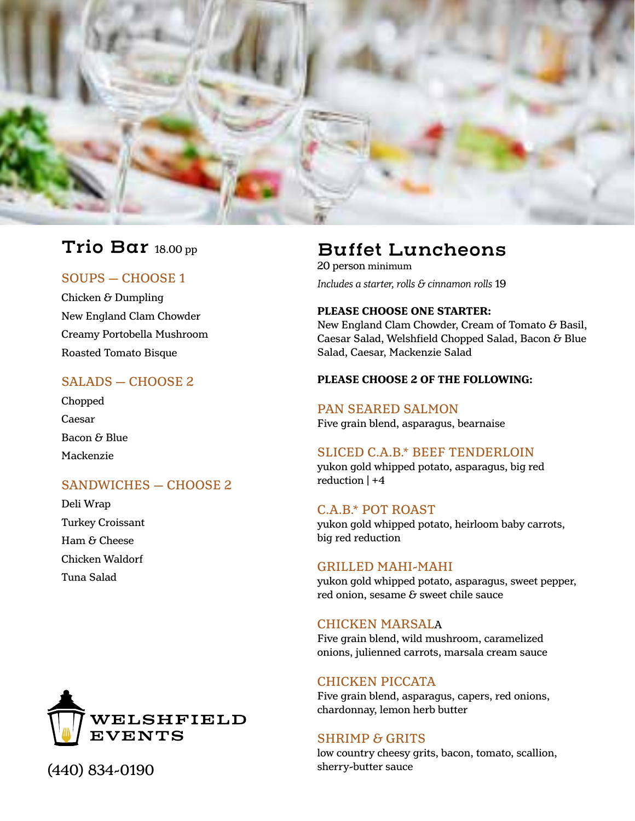

## **Trio Bar** 18.00 pp

## SOUPS — CHOOSE 1

Chicken & Dumpling New England Clam Chowder Creamy Portobella Mushroom Roasted Tomato Bisque

## SALADS — CHOOSE 2

Chopped Caesar Bacon & Blue Mackenzie

## SANDWICHES — CHOOSE 2

Deli Wrap Turkey Croissant Ham & Cheese Chicken Waldorf Tuna Salad



sherry-butter sauce (440) 834-0190

## **Buffet Luncheons**

20 person minimum *Includes a starter, rolls & cinnamon rolls* 19

#### **PLEASE CHOOSE ONE STARTER:**

New England Clam Chowder, Cream of Tomato & Basil, Caesar Salad, Welshfield Chopped Salad, Bacon & Blue Salad, Caesar, Mackenzie Salad

#### **PLEASE CHOOSE 2 OF THE FOLLOWING:**

#### PAN SEARED SALMON

Five grain blend, asparagus, bearnaise

### SLICED C.A.B.\* BEEF TENDERLOIN

yukon gold whipped potato, asparagus, big red reduction | +4

#### C.A.B.\* POT ROAST

yukon gold whipped potato, heirloom baby carrots, big red reduction

#### GRILLED MAHI-MAHI

yukon gold whipped potato, asparagus, sweet pepper, red onion, sesame  $\delta$  sweet chile sauce

#### CHICKEN MARSALA

Five grain blend, wild mushroom, caramelized onions, julienned carrots, marsala cream sauce

### CHICKEN PICCATA

Five grain blend, asparagus, capers, red onions, chardonnay, lemon herb butter

#### SHRIMP & GRITS

low country cheesy grits, bacon, tomato, scallion,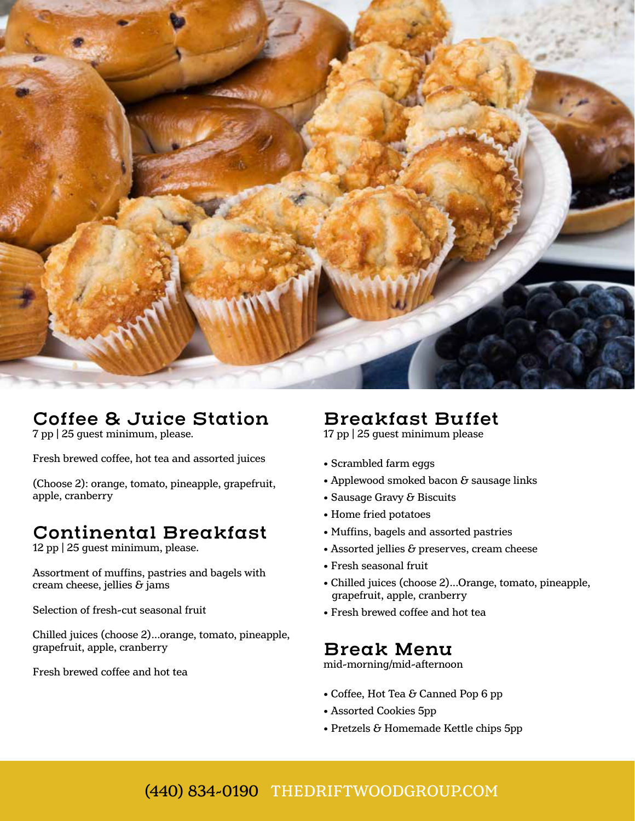

## **Coffee & Juice Station**

7 pp | 25 guest minimum, please.

Fresh brewed coffee, hot tea and assorted juices

(Choose 2): orange, tomato, pineapple, grapefruit, apple, cranberry

## **Continental Breakfast**

12 pp | 25 guest minimum, please.

Assortment of muffins, pastries and bagels with cream cheese, jellies  $\delta$  jams

Selection of fresh-cut seasonal fruit

Chilled juices (choose 2)...orange, tomato, pineapple, grapefruit, apple, cranberry

Fresh brewed coffee and hot tea

## **Breakfast Buffet**

17 pp | 25 guest minimum please

- Scrambled farm eggs
- Applewood smoked bacon & sausage links
- Sausage Gravy & Biscuits
- Home fried potatoes
- Muffins, bagels and assorted pastries
- $\bullet$  Assorted jellies  $\&$  preserves, cream cheese
- Fresh seasonal fruit
- Chilled juices (choose 2)...Orange, tomato, pineapple, grapefruit, apple, cranberry
- Fresh brewed coffee and hot tea

## **Break Menu**

mid-morning/mid-afternoon

- $\bullet$  Coffee, Hot Tea & Canned Pop 6 pp
- Assorted Cookies 5pp
- Pretzels & Homemade Kettle chips 5pp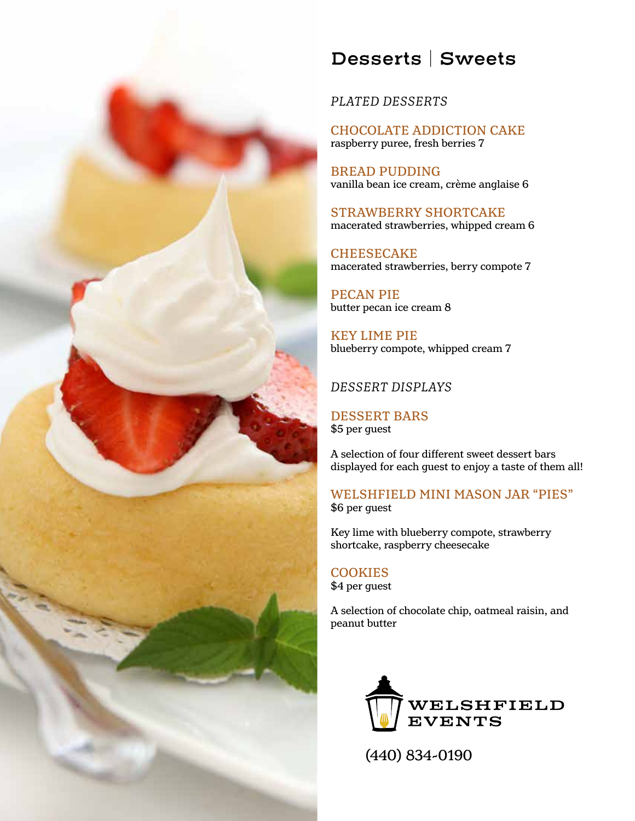

## **Desserts | Sweets**

*PLATED DESSERTS*

CHOCOLATE ADDICTION CAKE raspberry puree, fresh berries 7

BREAD PUDDING vanilla bean ice cream, crème anglaise 6

STRAWBERRY SHORTCAKE macerated strawberries, whipped cream 6

**CHEESECAKE** macerated strawberries, berry compote 7

PECAN PIE butter pecan ice cream 8

KEY LIME PIE blueberry compote, whipped cream 7

## *DESSERT DISPLAYS*

DESSERT BARS \$5 per guest

A selection of four different sweet dessert bars displayed for each guest to enjoy a taste of them all!

WELSHFIELD MINI MASON JAR "PIES" \$6 per guest

Key lime with blueberry compote, strawberry shortcake, raspberry cheesecake

## **COOKIES**

\$4 per guest

A selection of chocolate chip, oatmeal raisin, and peanut butter



(440) 834-0190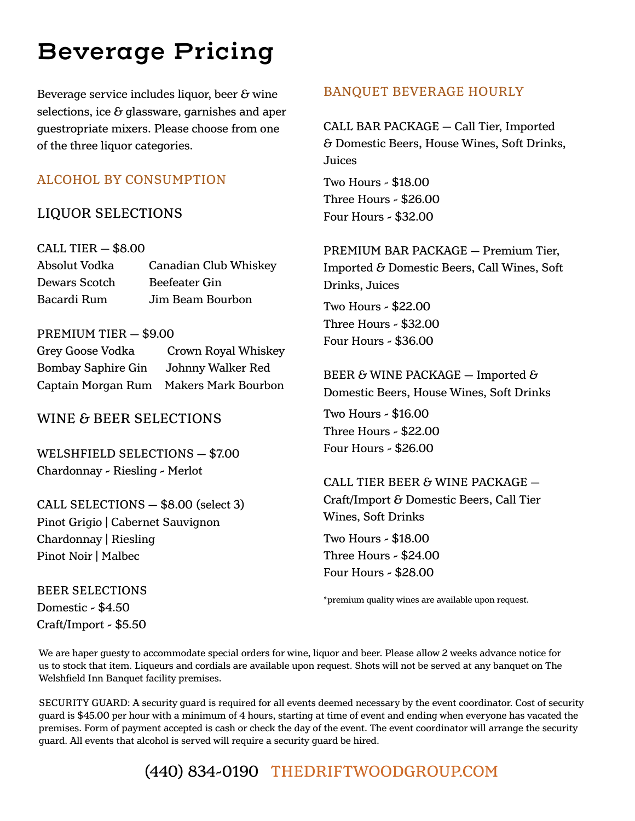# **Beverage Pricing**

Beverage service includes liquor, beer  $\epsilon$  wine selections, ice  $\delta$  glassware, garnishes and aper guestropriate mixers. Please choose from one of the three liquor categories.

## ALCOHOL BY CONSUMPTION

## LIQUOR SELECTIONS

CALL TIER — \$8.00

| Absolut Vodka | Canadian Club Whiskey |
|---------------|-----------------------|
| Dewars Scotch | Beefeater Gin         |
| Bacardi Rum   | Jim Beam Bourbon      |

## PREMIUM TIER — \$9.00

| Grey Goose Vodka          | Crown Royal Whiskey        |
|---------------------------|----------------------------|
| <b>Bombay Saphire Gin</b> | Johnny Walker Red          |
| Captain Morgan Rum        | <b>Makers Mark Bourbon</b> |

WINE & BEER SELECTIONS

WELSHFIELD SELECTIONS — \$7.00 Chardonnay - Riesling - Merlot

CALL SELECTIONS — \$8.00 (select 3) Pinot Grigio | Cabernet Sauvignon Chardonnay | Riesling Pinot Noir | Malbec

BEER SELECTIONS Domestic - \$4.50 Craft/Import - \$5.50

## BANQUET BEVERAGE HOURLY

CALL BAR PACKAGE — Call Tier, Imported & Domestic Beers, House Wines, Soft Drinks, Juices

Two Hours - \$18.00 Three Hours - \$26.00 Four Hours - \$32.00

PREMIUM BAR PACKAGE — Premium Tier, Imported & Domestic Beers, Call Wines, Soft Drinks, Juices

Two Hours - \$22.00 Three Hours - \$32.00 Four Hours - \$36.00

BEER & WINE PACKAGE - Imported  $\delta$ Domestic Beers, House Wines, Soft Drinks

Two Hours - \$16.00 Three Hours - \$22.00 Four Hours - \$26.00

CALL TIER BEER & WINE PACKAGE — Craft/Import & Domestic Beers, Call Tier Wines, Soft Drinks

Two Hours - \$18.00 Three Hours - \$24.00 Four Hours - \$28.00

\*premium quality wines are available upon request.

We are haper guesty to accommodate special orders for wine, liquor and beer. Please allow 2 weeks advance notice for us to stock that item. Liqueurs and cordials are available upon request. Shots will not be served at any banquet on The Welshfield Inn Banquet facility premises.

SECURITY GUARD: A security guard is required for all events deemed necessary by the event coordinator. Cost of security guard is \$45.00 per hour with a minimum of 4 hours, starting at time of event and ending when everyone has vacated the premises. Form of payment accepted is cash or check the day of the event. The event coordinator will arrange the security guard. All events that alcohol is served will require a security guard be hired.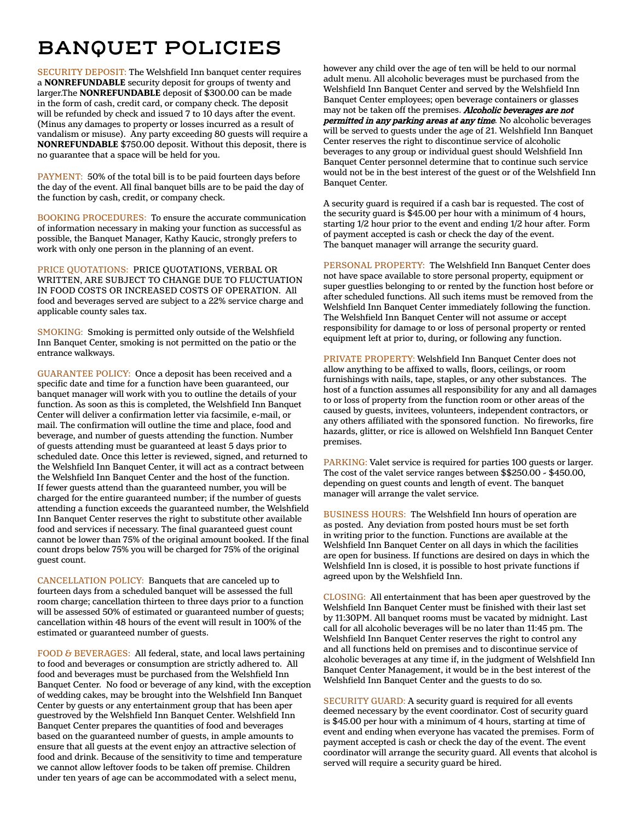## **BANQUET POLICIES**

SECURITY DEPOSIT: The Welshfield Inn banquet center requires a **NONREFUNDABLE** security deposit for groups of twenty and larger.The **NONREFUNDABLE** deposit of \$300.00 can be made in the form of cash, credit card, or company check. The deposit will be refunded by check and issued 7 to 10 days after the event. (Minus any damages to property or losses incurred as a result of vandalism or misuse). Any party exceeding 80 guests will require a **NONREFUNDABLE** \$750.00 deposit. Without this deposit, there is no guarantee that a space will be held for you.

PAYMENT: 50% of the total bill is to be paid fourteen days before the day of the event. All final banquet bills are to be paid the day of the function by cash, credit, or company check.

BOOKING PROCEDURES: To ensure the accurate communication of information necessary in making your function as successful as possible, the Banquet Manager, Kathy Kaucic, strongly prefers to work with only one person in the planning of an event.

PRICE QUOTATIONS: PRICE QUOTATIONS, VERBAL OR WRITTEN, ARE SUBJECT TO CHANGE DUE TO FLUCTUATION IN FOOD COSTS OR INCREASED COSTS OF OPERATION. All food and beverages served are subject to a 22% service charge and applicable county sales tax.

SMOKING: Smoking is permitted only outside of the Welshfield Inn Banquet Center, smoking is not permitted on the patio or the entrance walkways.

GUARANTEE POLICY: Once a deposit has been received and a specific date and time for a function have been guaranteed, our banquet manager will work with you to outline the details of your function. As soon as this is completed, the Welshfield Inn Banquet Center will deliver a confirmation letter via facsimile, e-mail, or mail. The confirmation will outline the time and place, food and beverage, and number of guests attending the function. Number of guests attending must be guaranteed at least 5 days prior to scheduled date. Once this letter is reviewed, signed, and returned to the Welshfield Inn Banquet Center, it will act as a contract between the Welshfield Inn Banquet Center and the host of the function. If fewer guests attend than the guaranteed number, you will be charged for the entire guaranteed number; if the number of guests attending a function exceeds the guaranteed number, the Welshfield Inn Banquet Center reserves the right to substitute other available food and services if necessary. The final guaranteed guest count cannot be lower than 75% of the original amount booked. If the final count drops below 75% you will be charged for 75% of the original guest count.

CANCELLATION POLICY: Banquets that are canceled up to fourteen days from a scheduled banquet will be assessed the full room charge; cancellation thirteen to three days prior to a function will be assessed 50% of estimated or guaranteed number of guests; cancellation within 48 hours of the event will result in 100% of the estimated or guaranteed number of guests.

FOOD & BEVERAGES: All federal, state, and local laws pertaining to food and beverages or consumption are strictly adhered to. All food and beverages must be purchased from the Welshfield Inn Banquet Center. No food or beverage of any kind, with the exception of wedding cakes, may be brought into the Welshfield Inn Banquet Center by guests or any entertainment group that has been aper guestroved by the Welshfield Inn Banquet Center. Welshfield Inn Banquet Center prepares the quantities of food and beverages based on the guaranteed number of guests, in ample amounts to ensure that all guests at the event enjoy an attractive selection of food and drink. Because of the sensitivity to time and temperature we cannot allow leftover foods to be taken off premise. Children under ten years of age can be accommodated with a select menu,

however any child over the age of ten will be held to our normal adult menu. All alcoholic beverages must be purchased from the Welshfield Inn Banquet Center and served by the Welshfield Inn Banquet Center employees; open beverage containers or glasses may not be taken off the premises. Alcoholic beverages are not permitted in any parking areas at any time. No alcoholic beverages will be served to guests under the age of 21. Welshfield Inn Banquet Center reserves the right to discontinue service of alcoholic beverages to any group or individual guest should Welshfield Inn Banquet Center personnel determine that to continue such service would not be in the best interest of the guest or of the Welshfield Inn Banquet Center.

A security guard is required if a cash bar is requested. The cost of the security guard is \$45.00 per hour with a minimum of 4 hours, starting 1/2 hour prior to the event and ending 1/2 hour after. Form of payment accepted is cash or check the day of the event. The banquet manager will arrange the security guard.

PERSONAL PROPERTY: The Welshfield Inn Banquet Center does not have space available to store personal property, equipment or super guestlies belonging to or rented by the function host before or after scheduled functions. All such items must be removed from the Welshfield Inn Banquet Center immediately following the function. The Welshfield Inn Banquet Center will not assume or accept responsibility for damage to or loss of personal property or rented equipment left at prior to, during, or following any function.

PRIVATE PROPERTY: Welshfield Inn Banquet Center does not allow anything to be affixed to walls, floors, ceilings, or room furnishings with nails, tape, staples, or any other substances. The host of a function assumes all responsibility for any and all damages to or loss of property from the function room or other areas of the caused by guests, invitees, volunteers, independent contractors, or any others affiliated with the sponsored function. No fireworks, fire hazards, glitter, or rice is allowed on Welshfield Inn Banquet Center premises.

PARKING: Valet service is required for parties 100 guests or larger. The cost of the valet service ranges between \$\$250.00 - \$450.00, depending on guest counts and length of event. The banquet manager will arrange the valet service.

BUSINESS HOURS: The Welshfield Inn hours of operation are as posted. Any deviation from posted hours must be set forth in writing prior to the function. Functions are available at the Welshfield Inn Banquet Center on all days in which the facilities are open for business. If functions are desired on days in which the Welshfield Inn is closed, it is possible to host private functions if agreed upon by the Welshfield Inn.

CLOSING: All entertainment that has been aper guestroved by the Welshfield Inn Banquet Center must be finished with their last set by 11:30PM. All banquet rooms must be vacated by midnight. Last call for all alcoholic beverages will be no later than 11:45 pm. The Welshfield Inn Banquet Center reserves the right to control any and all functions held on premises and to discontinue service of alcoholic beverages at any time if, in the judgment of Welshfield Inn Banquet Center Management, it would be in the best interest of the Welshfield Inn Banquet Center and the guests to do so.

SECURITY GUARD: A security guard is required for all events deemed necessary by the event coordinator. Cost of security guard is \$45.00 per hour with a minimum of 4 hours, starting at time of event and ending when everyone has vacated the premises. Form of payment accepted is cash or check the day of the event. The event coordinator will arrange the security guard. All events that alcohol is served will require a security guard be hired.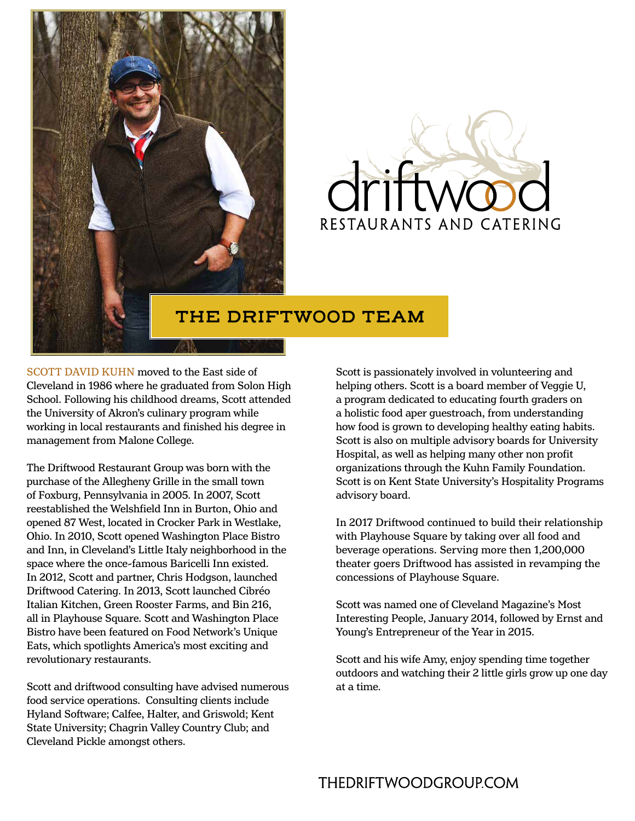



## **THE DRIFTWOOD TEAM**

SCOTT DAVID KUHN moved to the East side of Cleveland in 1986 where he graduated from Solon High School. Following his childhood dreams, Scott attended the University of Akron's culinary program while working in local restaurants and finished his degree in management from Malone College.

The Driftwood Restaurant Group was born with the purchase of the Allegheny Grille in the small town of Foxburg, Pennsylvania in 2005. In 2007, Scott reestablished the Welshfield Inn in Burton, Ohio and opened 87 West, located in Crocker Park in Westlake, Ohio. In 2010, Scott opened Washington Place Bistro and Inn, in Cleveland's Little Italy neighborhood in the space where the once-famous Baricelli Inn existed. In 2012, Scott and partner, Chris Hodgson, launched Driftwood Catering. In 2013, Scott launched Cibréo Italian Kitchen, Green Rooster Farms, and Bin 216, all in Playhouse Square. Scott and Washington Place Bistro have been featured on Food Network's Unique Eats, which spotlights America's most exciting and revolutionary restaurants.

Scott and driftwood consulting have advised numerous food service operations. Consulting clients include Hyland Software; Calfee, Halter, and Griswold; Kent State University; Chagrin Valley Country Club; and Cleveland Pickle amongst others.

Scott is passionately involved in volunteering and helping others. Scott is a board member of Veggie U, a program dedicated to educating fourth graders on a holistic food aper guestroach, from understanding how food is grown to developing healthy eating habits. Scott is also on multiple advisory boards for University Hospital, as well as helping many other non profit organizations through the Kuhn Family Foundation. Scott is on Kent State University's Hospitality Programs advisory board.

In 2017 Driftwood continued to build their relationship with Playhouse Square by taking over all food and beverage operations. Serving more then 1,200,000 theater goers Driftwood has assisted in revamping the concessions of Playhouse Square.

Scott was named one of Cleveland Magazine's Most Interesting People, January 2014, followed by Ernst and Young's Entrepreneur of the Year in 2015.

Scott and his wife Amy, enjoy spending time together outdoors and watching their 2 little girls grow up one day at a time.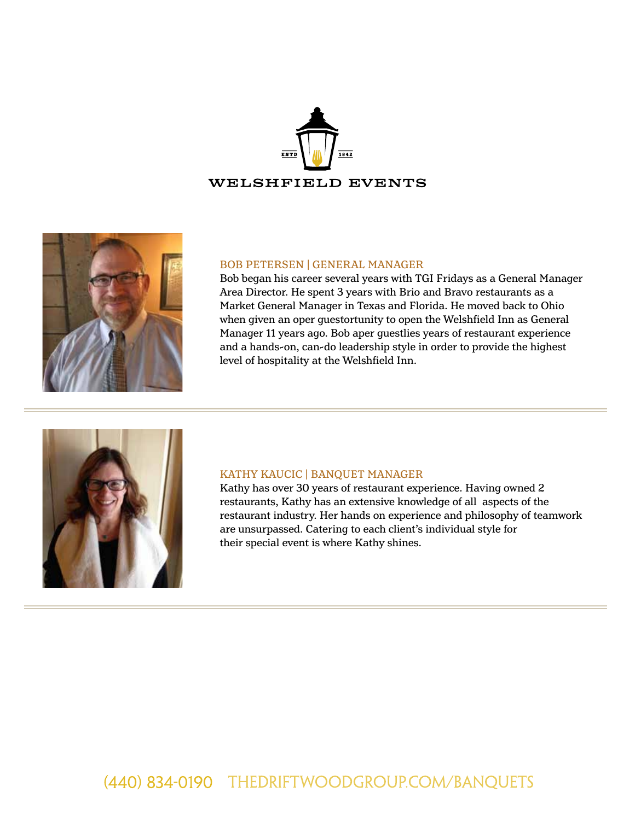



#### BOB PETERSEN | GENERAL MANAGER

Bob began his career several years with TGI Fridays as a General Manager Area Director. He spent 3 years with Brio and Bravo restaurants as a Market General Manager in Texas and Florida. He moved back to Ohio when given an oper guestortunity to open the Welshfield Inn as General Manager 11 years ago. Bob aper guestlies years of restaurant experience and a hands-on, can-do leadership style in order to provide the highest level of hospitality at the Welshfield Inn.



#### KATHY KAUCIC | BANQUET MANAGER

Kathy has over 30 years of restaurant experience. Having owned 2 restaurants, Kathy has an extensive knowledge of all aspects of the restaurant industry. Her hands on experience and philosophy of teamwork are unsurpassed. Catering to each client's individual style for their special event is where Kathy shines.